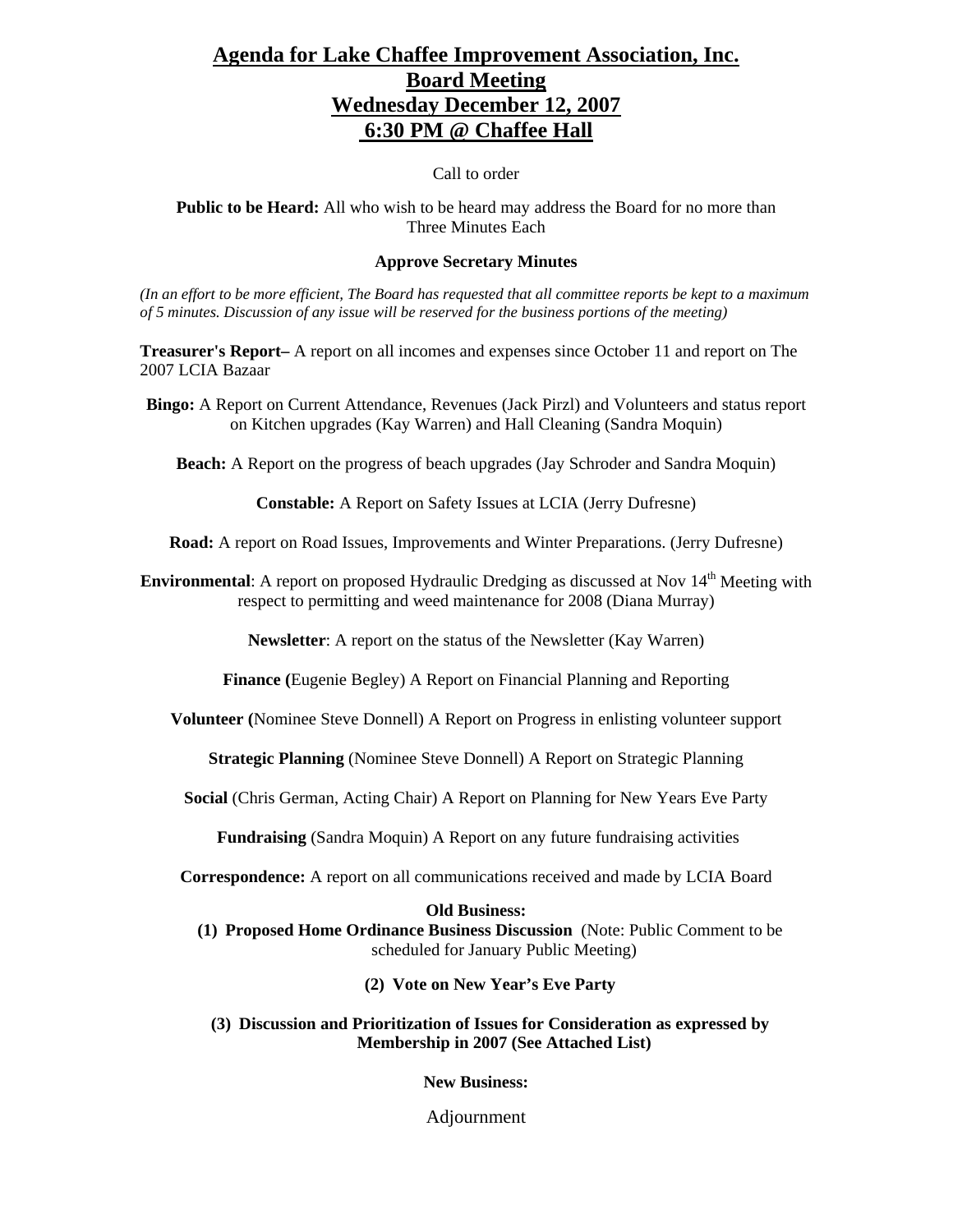# **Agenda for Lake Chaffee Improvement Association, Inc. Board Meeting Wednesday December 12, 2007 6:30 PM @ Chaffee Hall**

Call to order

**Public to be Heard:** All who wish to be heard may address the Board for no more than Three Minutes Each

### **Approve Secretary Minutes**

*(In an effort to be more efficient, The Board has requested that all committee reports be kept to a maximum of 5 minutes. Discussion of any issue will be reserved for the business portions of the meeting)* 

**Treasurer's Report–** A report on all incomes and expenses since October 11 and report on The 2007 LCIA Bazaar

**Bingo:** A Report on Current Attendance, Revenues (Jack Pirzl) and Volunteers and status report on Kitchen upgrades (Kay Warren) and Hall Cleaning (Sandra Moquin)

**Beach:** A Report on the progress of beach upgrades (Jay Schroder and Sandra Moquin)

**Constable:** A Report on Safety Issues at LCIA (Jerry Dufresne)

**Road:** A report on Road Issues, Improvements and Winter Preparations. (Jerry Dufresne)

**Environmental:** A report on proposed Hydraulic Dredging as discussed at Nov 14<sup>th</sup> Meeting with respect to permitting and weed maintenance for 2008 (Diana Murray)

**Newsletter**: A report on the status of the Newsletter (Kay Warren)

**Finance (**Eugenie Begley) A Report on Financial Planning and Reporting

**Volunteer (**Nominee Steve Donnell) A Report on Progress in enlisting volunteer support

**Strategic Planning** (Nominee Steve Donnell) A Report on Strategic Planning

**Social** (Chris German, Acting Chair) A Report on Planning for New Years Eve Party

**Fundraising** (Sandra Moquin) A Report on any future fundraising activities

**Correspondence:** A report on all communications received and made by LCIA Board

### **Old Business:**

**(1) Proposed Home Ordinance Business Discussion** (Note: Public Comment to be scheduled for January Public Meeting)

**(2) Vote on New Year's Eve Party**

**(3) Discussion and Prioritization of Issues for Consideration as expressed by Membership in 2007 (See Attached List)**

**New Business:**

Adjournment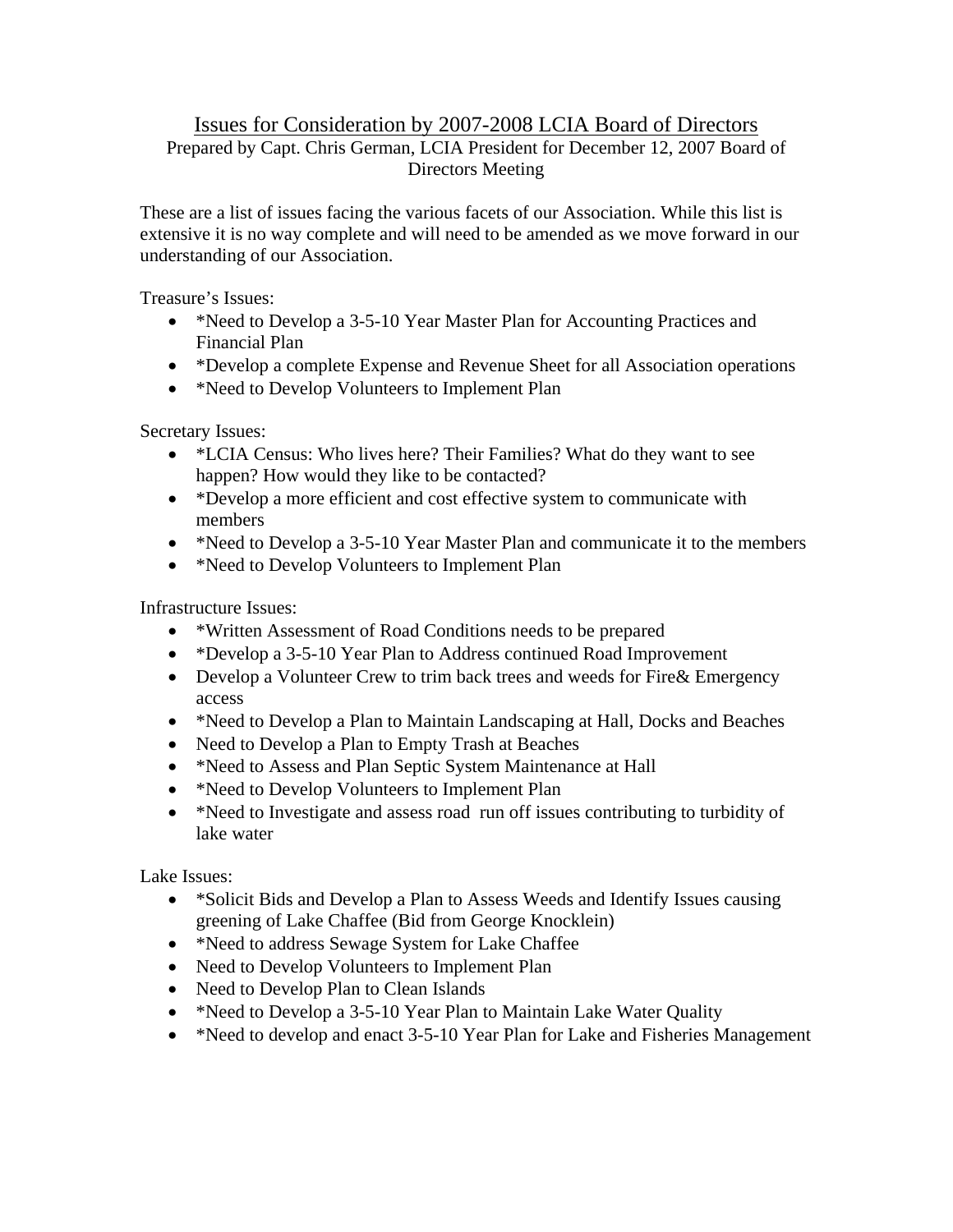# Issues for Consideration by 2007-2008 LCIA Board of Directors Prepared by Capt. Chris German, LCIA President for December 12, 2007 Board of Directors Meeting

These are a list of issues facing the various facets of our Association. While this list is extensive it is no way complete and will need to be amended as we move forward in our understanding of our Association.

Treasure's Issues:

- \*Need to Develop a 3-5-10 Year Master Plan for Accounting Practices and Financial Plan
- \*Develop a complete Expense and Revenue Sheet for all Association operations
- \*Need to Develop Volunteers to Implement Plan

Secretary Issues:

- \*LCIA Census: Who lives here? Their Families? What do they want to see happen? How would they like to be contacted?
- \*Develop a more efficient and cost effective system to communicate with members
- \*Need to Develop a 3-5-10 Year Master Plan and communicate it to the members
- \*Need to Develop Volunteers to Implement Plan

Infrastructure Issues:

- \*Written Assessment of Road Conditions needs to be prepared
- \*Develop a 3-5-10 Year Plan to Address continued Road Improvement
- Develop a Volunteer Crew to trim back trees and weeds for Fire & Emergency access
- \*Need to Develop a Plan to Maintain Landscaping at Hall, Docks and Beaches
- Need to Develop a Plan to Empty Trash at Beaches
- \*Need to Assess and Plan Septic System Maintenance at Hall
- \*Need to Develop Volunteers to Implement Plan
- \*Need to Investigate and assess road run off issues contributing to turbidity of lake water

Lake Issues:

- \*Solicit Bids and Develop a Plan to Assess Weeds and Identify Issues causing greening of Lake Chaffee (Bid from George Knocklein)
- \*Need to address Sewage System for Lake Chaffee
- Need to Develop Volunteers to Implement Plan
- Need to Develop Plan to Clean Islands
- \*Need to Develop a 3-5-10 Year Plan to Maintain Lake Water Quality
- \*Need to develop and enact 3-5-10 Year Plan for Lake and Fisheries Management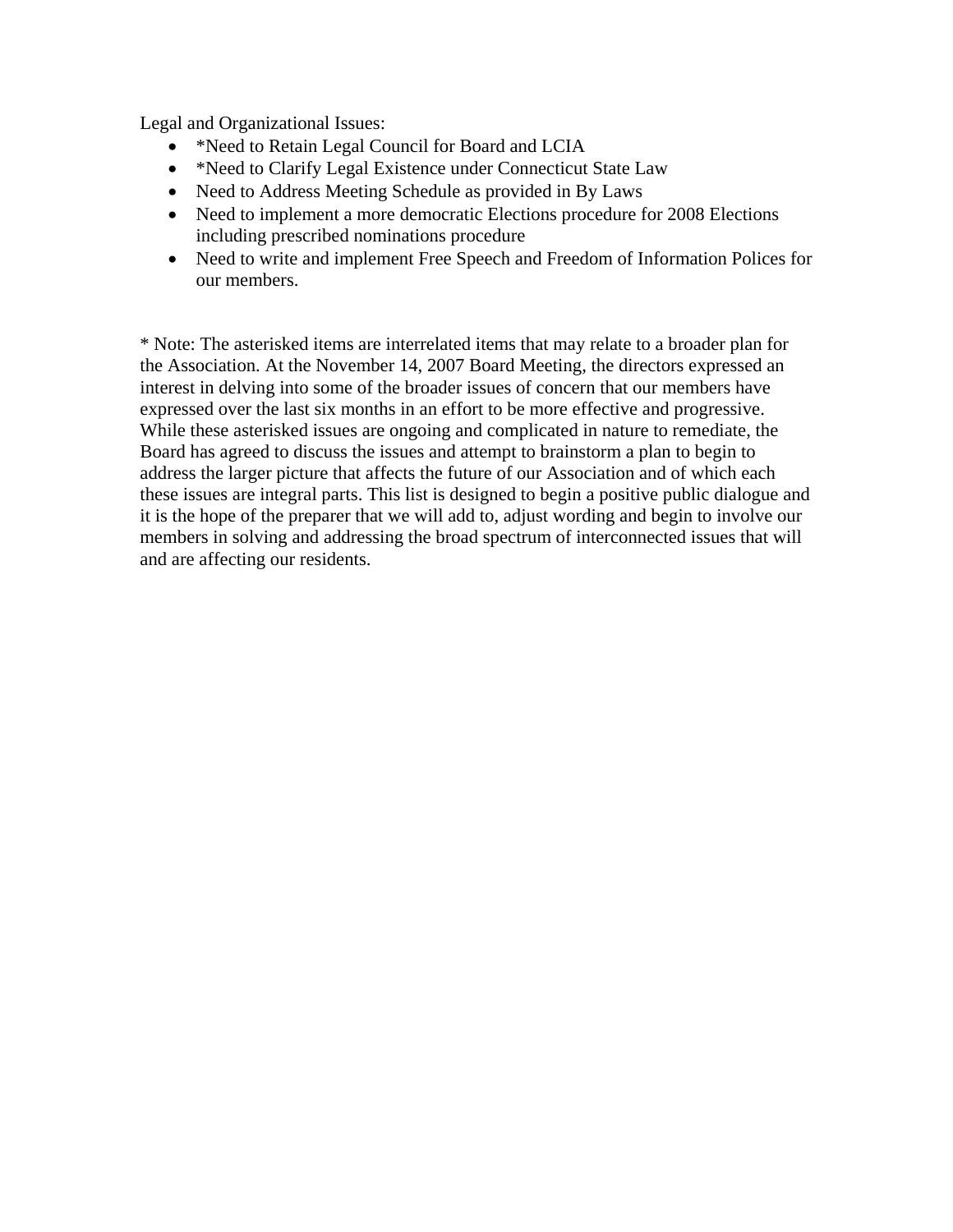Legal and Organizational Issues:

- \*Need to Retain Legal Council for Board and LCIA
- \*Need to Clarify Legal Existence under Connecticut State Law
- Need to Address Meeting Schedule as provided in By Laws
- Need to implement a more democratic Elections procedure for 2008 Elections including prescribed nominations procedure
- Need to write and implement Free Speech and Freedom of Information Polices for our members.

\* Note: The asterisked items are interrelated items that may relate to a broader plan for the Association. At the November 14, 2007 Board Meeting, the directors expressed an interest in delving into some of the broader issues of concern that our members have expressed over the last six months in an effort to be more effective and progressive. While these asterisked issues are ongoing and complicated in nature to remediate, the Board has agreed to discuss the issues and attempt to brainstorm a plan to begin to address the larger picture that affects the future of our Association and of which each these issues are integral parts. This list is designed to begin a positive public dialogue and it is the hope of the preparer that we will add to, adjust wording and begin to involve our members in solving and addressing the broad spectrum of interconnected issues that will and are affecting our residents.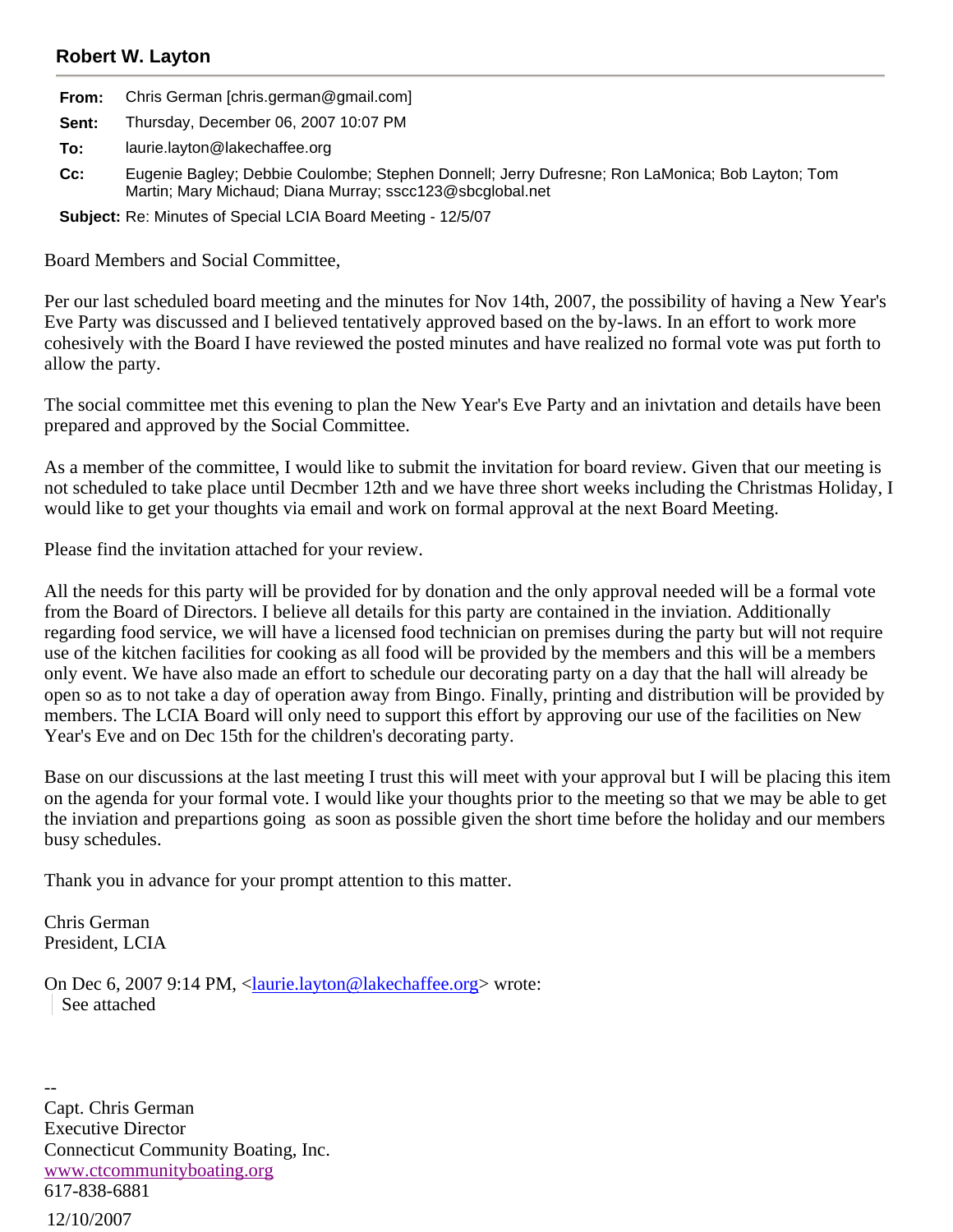## **Robert W. Layton**

|       | <b>From:</b> Chris German [chris.german@gmail.com] |
|-------|----------------------------------------------------|
| Sent: | Thursday, December 06, 2007 10:07 PM               |
| To:   | laurie.layton@lakechaffee.org                      |

**Cc:** Eugenie Bagley; Debbie Coulombe; Stephen Donnell; Jerry Dufresne; Ron LaMonica; Bob Layton; Tom Martin; Mary Michaud; Diana Murray; sscc123@sbcglobal.net

**Subject:** Re: Minutes of Special LCIA Board Meeting - 12/5/07

Board Members and Social Committee,

Per our last scheduled board meeting and the minutes for Nov 14th, 2007, the possibility of having a New Year's Eve Party was discussed and I believed tentatively approved based on the by-laws. In an effort to work more cohesively with the Board I have reviewed the posted minutes and have realized no formal vote was put forth to allow the party.

The social committee met this evening to plan the New Year's Eve Party and an inivtation and details have been prepared and approved by the Social Committee.

As a member of the committee, I would like to submit the invitation for board review. Given that our meeting is not scheduled to take place until Decmber 12th and we have three short weeks including the Christmas Holiday, I would like to get your thoughts via email and work on formal approval at the next Board Meeting.

Please find the invitation attached for your review.

All the needs for this party will be provided for by donation and the only approval needed will be a formal vote from the Board of Directors. I believe all details for this party are contained in the inviation. Additionally regarding food service, we will have a licensed food technician on premises during the party but will not require use of the kitchen facilities for cooking as all food will be provided by the members and this will be a members only event. We have also made an effort to schedule our decorating party on a day that the hall will already be open so as to not take a day of operation away from Bingo. Finally, printing and distribution will be provided by members. The LCIA Board will only need to support this effort by approving our use of the facilities on New Year's Eve and on Dec 15th for the children's decorating party.

Base on our discussions at the last meeting I trust this will meet with your approval but I will be placing this item on the agenda for your formal vote. I would like your thoughts prior to the meeting so that we may be able to get the inviation and prepartions going as soon as possible given the short time before the holiday and our members busy schedules.

Thank you in advance for your prompt attention to this matter.

Chris German President, LCIA

On Dec 6, 2007 9:14 PM, <laurie.layton@lakechaffee.org> wrote: See attached

12/10/2007 -- Capt. Chris German Executive Director Connecticut Community Boating, Inc. www.ctcommunityboating.org 617-838-6881